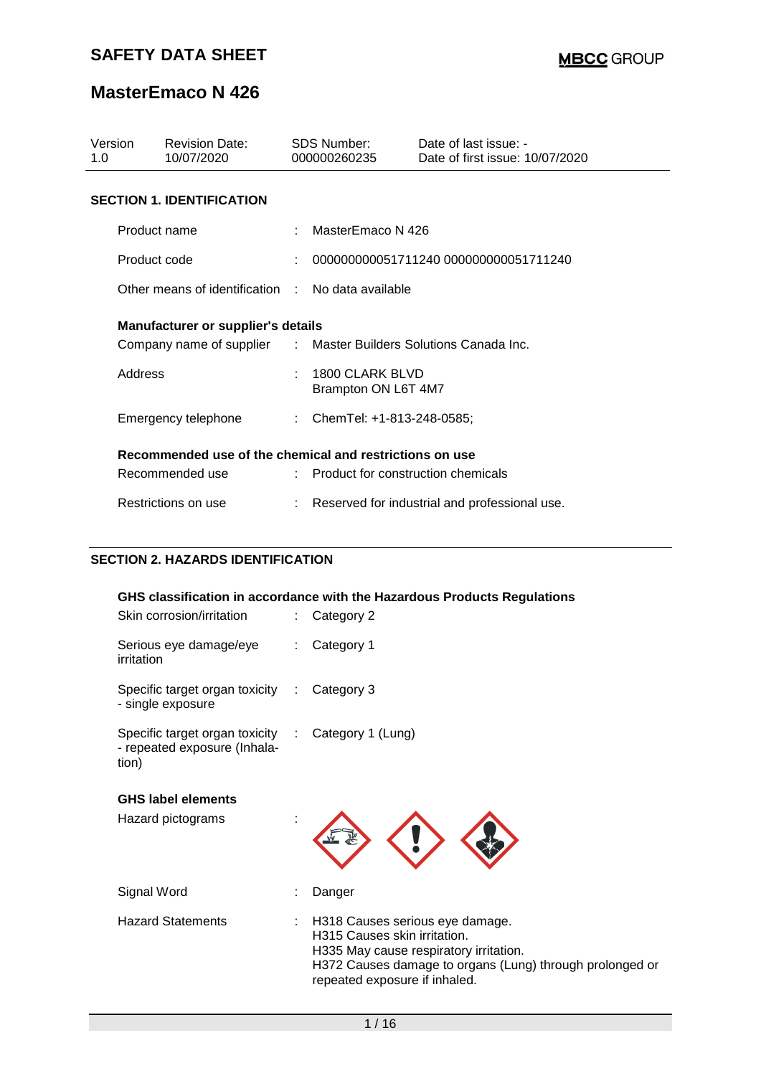# **MasterEmaco N 426**

| Version<br>1.0 | <b>Revision Date:</b><br>10/07/2020                              |    | <b>SDS Number:</b><br>000000260235     | Date of last issue: -<br>Date of first issue: 10/07/2020 |  |  |  |
|----------------|------------------------------------------------------------------|----|----------------------------------------|----------------------------------------------------------|--|--|--|
|                | <b>SECTION 1. IDENTIFICATION</b>                                 |    |                                        |                                                          |  |  |  |
|                | Product name                                                     |    | MasterEmaco N 426                      |                                                          |  |  |  |
|                | Product code                                                     |    |                                        | 000000000051711240 000000000051711240                    |  |  |  |
|                | Other means of identification : No data available                |    |                                        |                                                          |  |  |  |
|                | <b>Manufacturer or supplier's details</b>                        |    |                                        |                                                          |  |  |  |
|                | Company name of supplier : Master Builders Solutions Canada Inc. |    |                                        |                                                          |  |  |  |
| Address        |                                                                  | ÷. | 1800 CLARK BLVD<br>Brampton ON L6T 4M7 |                                                          |  |  |  |
|                | Emergency telephone                                              |    | : ChemTel: +1-813-248-0585;            |                                                          |  |  |  |
|                | Recommended use of the chemical and restrictions on use          |    |                                        |                                                          |  |  |  |
|                | Recommended use                                                  |    | : Product for construction chemicals   |                                                          |  |  |  |
|                | Restrictions on use                                              |    |                                        | Reserved for industrial and professional use.            |  |  |  |

## **SECTION 2. HAZARDS IDENTIFICATION**

|                                                                                             | GHS classification in accordance with the Hazardous Products Regulations                                                                                                                               |
|---------------------------------------------------------------------------------------------|--------------------------------------------------------------------------------------------------------------------------------------------------------------------------------------------------------|
| Skin corrosion/irritation                                                                   | Category 2                                                                                                                                                                                             |
| Serious eye damage/eye<br>irritation                                                        | Category 1                                                                                                                                                                                             |
| Specific target organ toxicity :<br>- single exposure                                       | Category 3                                                                                                                                                                                             |
| Specific target organ toxicity : Category 1 (Lung)<br>- repeated exposure (Inhala-<br>tion) |                                                                                                                                                                                                        |
| <b>GHS label elements</b>                                                                   |                                                                                                                                                                                                        |
| Hazard pictograms                                                                           |                                                                                                                                                                                                        |
| Signal Word                                                                                 | Danger                                                                                                                                                                                                 |
| <b>Hazard Statements</b>                                                                    | H318 Causes serious eye damage.<br>H315 Causes skin irritation.<br>H335 May cause respiratory irritation.<br>H372 Causes damage to organs (Lung) through prolonged or<br>repeated exposure if inhaled. |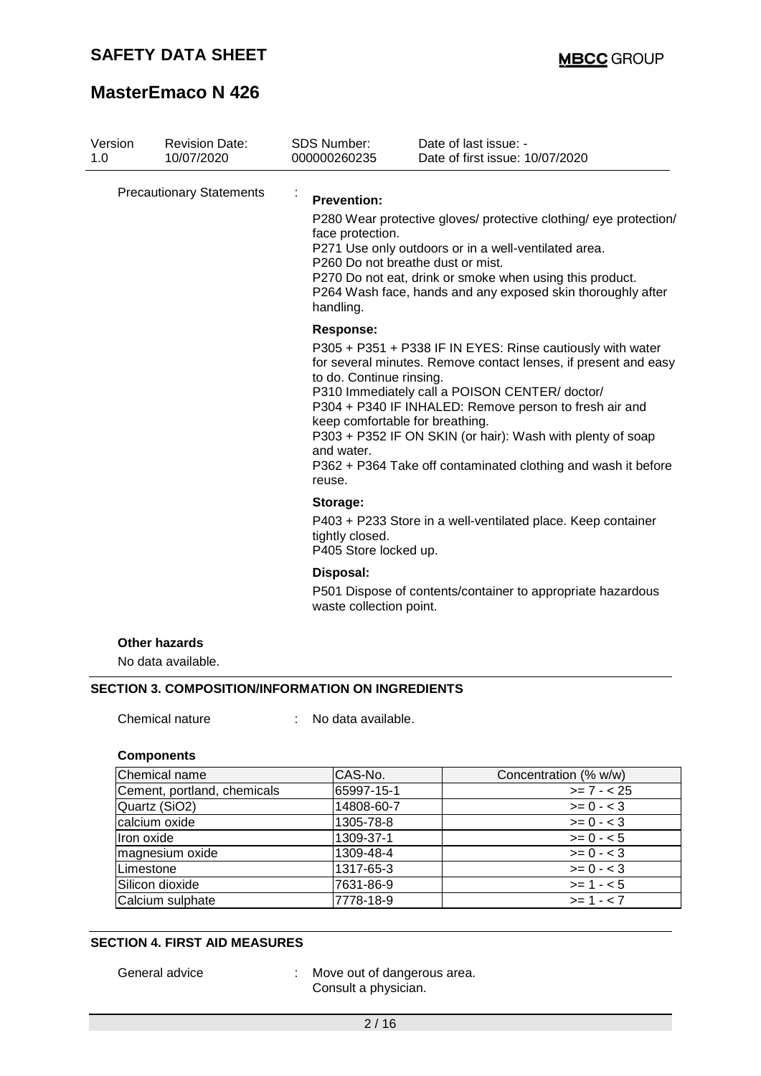| Version<br>1.0 | <b>Revision Date:</b><br>10/07/2020        | <b>SDS Number:</b><br>000000260235                                   | Date of last issue: -<br>Date of first issue: 10/07/2020                                                                                                                                                                                                                                                                                                                                                   |
|----------------|--------------------------------------------|----------------------------------------------------------------------|------------------------------------------------------------------------------------------------------------------------------------------------------------------------------------------------------------------------------------------------------------------------------------------------------------------------------------------------------------------------------------------------------------|
|                | <b>Precautionary Statements</b>            | ÷<br><b>Prevention:</b><br>face protection.<br>handling.             | P280 Wear protective gloves/ protective clothing/ eye protection/<br>P271 Use only outdoors or in a well-ventilated area.<br>P260 Do not breathe dust or mist.<br>P270 Do not eat, drink or smoke when using this product.<br>P264 Wash face, hands and any exposed skin thoroughly after                                                                                                                  |
|                |                                            | <b>Response:</b><br>to do. Continue rinsing.<br>and water.<br>reuse. | P305 + P351 + P338 IF IN EYES: Rinse cautiously with water<br>for several minutes. Remove contact lenses, if present and easy<br>P310 Immediately call a POISON CENTER/doctor/<br>P304 + P340 IF INHALED: Remove person to fresh air and<br>keep comfortable for breathing.<br>P303 + P352 IF ON SKIN (or hair): Wash with plenty of soap<br>P362 + P364 Take off contaminated clothing and wash it before |
|                |                                            | Storage:<br>tightly closed.<br>P405 Store locked up.                 | P403 + P233 Store in a well-ventilated place. Keep container                                                                                                                                                                                                                                                                                                                                               |
|                |                                            | Disposal:<br>waste collection point.                                 | P501 Dispose of contents/container to appropriate hazardous                                                                                                                                                                                                                                                                                                                                                |
|                | <b>Other hazards</b><br>No data available. |                                                                      |                                                                                                                                                                                                                                                                                                                                                                                                            |

Chemical nature : No data available.

### **Components**

| Chemical name               | CAS-No.    | Concentration (% w/w) |
|-----------------------------|------------|-----------------------|
| Cement, portland, chemicals | 65997-15-1 | $>= 7 - 25$           |
| Quartz (SiO2)               | 14808-60-7 | $>= 0 - 3$            |
| calcium oxide               | 1305-78-8  | $>= 0 - 3$            |
| Iron oxide                  | 1309-37-1  | $>= 0 - 5$            |
| magnesium oxide             | 1309-48-4  | $>= 0 - 3$            |
| Limestone                   | 1317-65-3  | $>= 0 - 3$            |
| Silicon dioxide             | 7631-86-9  | $>= 1 - 5$            |
| Calcium sulphate            | 7778-18-9  | $>= 1 - 7$            |

### **SECTION 4. FIRST AID MEASURES**

General advice : Move out of dangerous area. Consult a physician.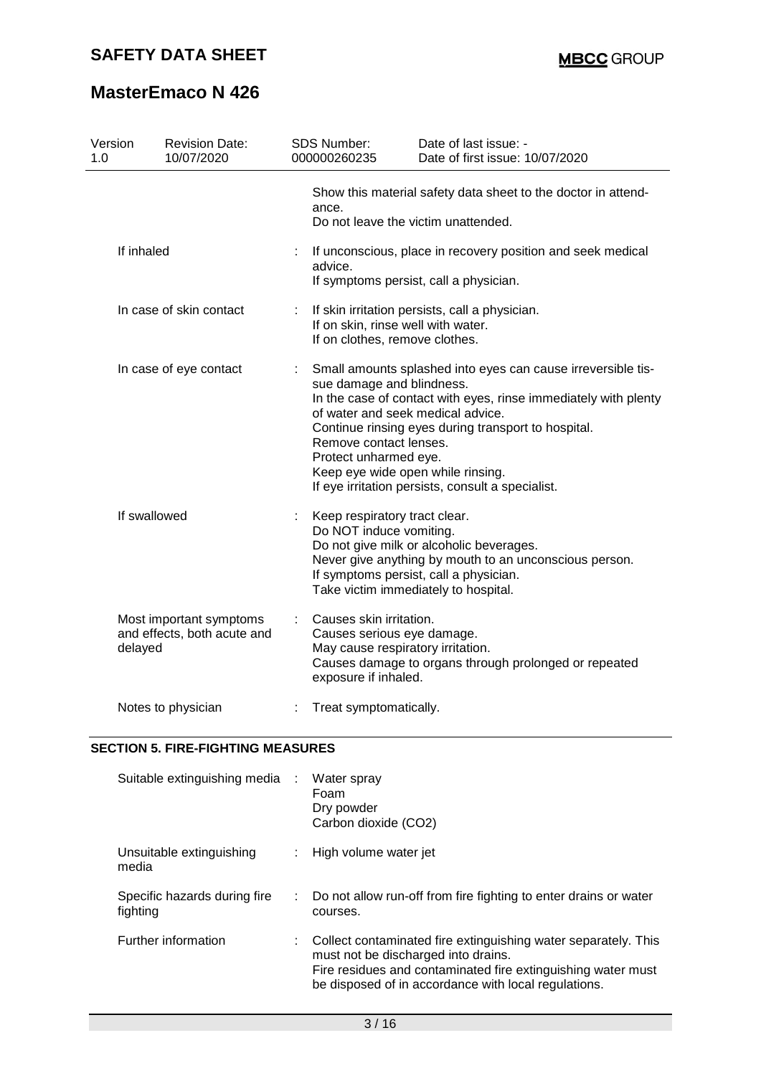| Version                 | <b>Revision Date:</b>                                  |   | SDS Number:                                                                                                                                                                                                                                                                                                                                                                                           | Date of last issue: -                                                                                |  |  |
|-------------------------|--------------------------------------------------------|---|-------------------------------------------------------------------------------------------------------------------------------------------------------------------------------------------------------------------------------------------------------------------------------------------------------------------------------------------------------------------------------------------------------|------------------------------------------------------------------------------------------------------|--|--|
| 1.0                     | 10/07/2020                                             |   | 000000260235                                                                                                                                                                                                                                                                                                                                                                                          | Date of first issue: 10/07/2020                                                                      |  |  |
|                         |                                                        |   | ance.                                                                                                                                                                                                                                                                                                                                                                                                 | Show this material safety data sheet to the doctor in attend-<br>Do not leave the victim unattended. |  |  |
| If inhaled              |                                                        |   | If unconscious, place in recovery position and seek medical<br>advice.<br>If symptoms persist, call a physician.                                                                                                                                                                                                                                                                                      |                                                                                                      |  |  |
| In case of skin contact |                                                        |   | If skin irritation persists, call a physician.<br>If on skin, rinse well with water.<br>If on clothes, remove clothes.                                                                                                                                                                                                                                                                                |                                                                                                      |  |  |
| In case of eye contact  |                                                        |   | Small amounts splashed into eyes can cause irreversible tis-<br>sue damage and blindness.<br>In the case of contact with eyes, rinse immediately with plenty<br>of water and seek medical advice.<br>Continue rinsing eyes during transport to hospital.<br>Remove contact lenses.<br>Protect unharmed eye.<br>Keep eye wide open while rinsing.<br>If eye irritation persists, consult a specialist. |                                                                                                      |  |  |
|                         | If swallowed                                           | ÷ | Keep respiratory tract clear.<br>Do NOT induce vomiting.<br>Do not give milk or alcoholic beverages.<br>Never give anything by mouth to an unconscious person.<br>If symptoms persist, call a physician.<br>Take victim immediately to hospital.                                                                                                                                                      |                                                                                                      |  |  |
| delayed                 | Most important symptoms<br>and effects, both acute and | ÷ | Causes skin irritation.<br>Causes serious eye damage.<br>May cause respiratory irritation.<br>exposure if inhaled.                                                                                                                                                                                                                                                                                    | Causes damage to organs through prolonged or repeated                                                |  |  |
|                         | Notes to physician                                     |   | Treat symptomatically.                                                                                                                                                                                                                                                                                                                                                                                |                                                                                                      |  |  |

## **SECTION 5. FIRE-FIGHTING MEASURES**

| Suitable extinguishing media :           | Water spray<br>Foam<br>Dry powder<br>Carbon dioxide (CO2)                                                                                                                                                                     |
|------------------------------------------|-------------------------------------------------------------------------------------------------------------------------------------------------------------------------------------------------------------------------------|
| Unsuitable extinguishing<br>media        | High volume water jet                                                                                                                                                                                                         |
| Specific hazards during fire<br>fighting | Do not allow run-off from fire fighting to enter drains or water<br>courses.                                                                                                                                                  |
| Further information                      | Collect contaminated fire extinguishing water separately. This<br>must not be discharged into drains.<br>Fire residues and contaminated fire extinguishing water must<br>be disposed of in accordance with local regulations. |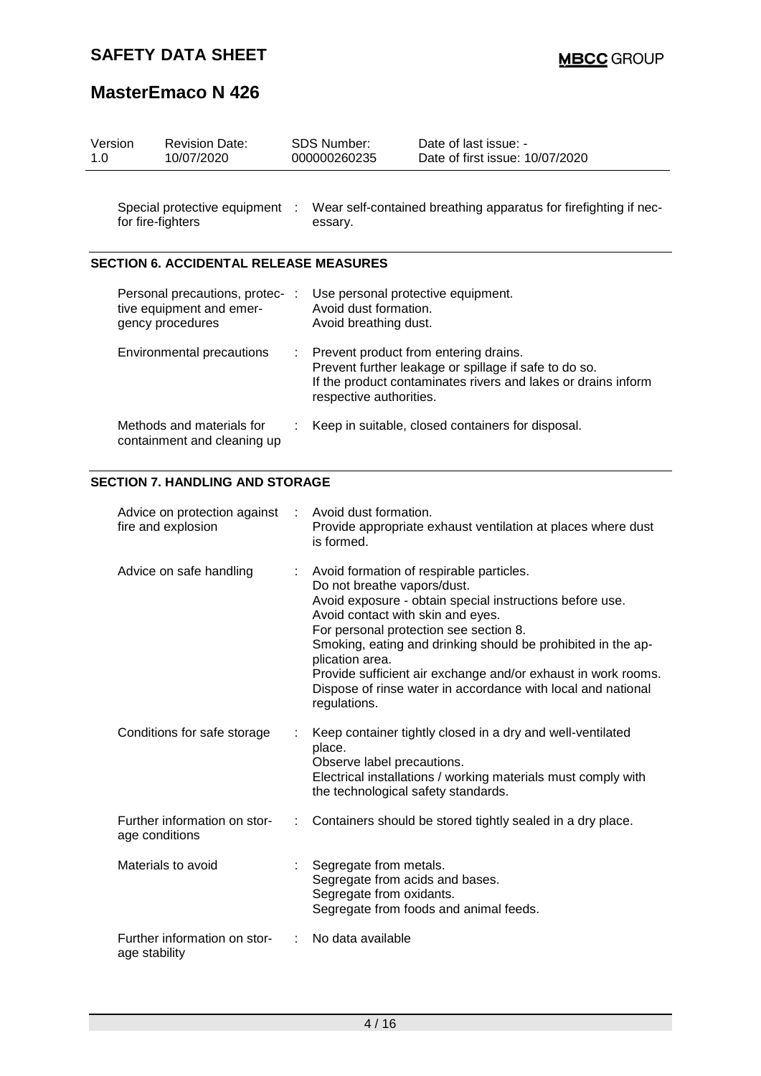| Version<br>1.0 | <b>Revision Date:</b><br>10/07/2020                                           | SDS Number:<br>000000260235                                                                         | Date of last issue: -<br>Date of first issue: 10/07/2020                                                                                                                                                                                                                                                                                        |
|----------------|-------------------------------------------------------------------------------|-----------------------------------------------------------------------------------------------------|-------------------------------------------------------------------------------------------------------------------------------------------------------------------------------------------------------------------------------------------------------------------------------------------------------------------------------------------------|
|                | Special protective equipment :<br>for fire-fighters                           | essary.                                                                                             | Wear self-contained breathing apparatus for firefighting if nec-                                                                                                                                                                                                                                                                                |
|                | <b>SECTION 6. ACCIDENTAL RELEASE MEASURES</b>                                 |                                                                                                     |                                                                                                                                                                                                                                                                                                                                                 |
|                | Personal precautions, protec-<br>tive equipment and emer-<br>gency procedures | Use personal protective equipment.<br>Avoid dust formation.<br>Avoid breathing dust.                |                                                                                                                                                                                                                                                                                                                                                 |
|                | Environmental precautions                                                     | respective authorities.                                                                             | Prevent product from entering drains.<br>Prevent further leakage or spillage if safe to do so.<br>If the product contaminates rivers and lakes or drains inform                                                                                                                                                                                 |
|                | Methods and materials for<br>containment and cleaning up                      | Keep in suitable, closed containers for disposal.                                                   |                                                                                                                                                                                                                                                                                                                                                 |
|                | <b>SECTION 7. HANDLING AND STORAGE</b>                                        |                                                                                                     |                                                                                                                                                                                                                                                                                                                                                 |
|                | Advice on protection against<br>fire and explosion                            | Avoid dust formation.<br>is formed.                                                                 | Provide appropriate exhaust ventilation at places where dust                                                                                                                                                                                                                                                                                    |
|                | Advice on safe handling                                                       | Do not breathe vapors/dust.<br>Avoid contact with skin and eyes.<br>plication area.<br>regulations. | Avoid formation of respirable particles.<br>Avoid exposure - obtain special instructions before use.<br>For personal protection see section 8.<br>Smoking, eating and drinking should be prohibited in the ap-<br>Provide sufficient air exchange and/or exhaust in work rooms.<br>Dispose of rinse water in accordance with local and national |
|                | Conditions for safe storage                                                   | place.<br>Observe label precautions.<br>the technological safety standards.                         | Keep container tightly closed in a dry and well-ventilated<br>Electrical installations / working materials must comply with                                                                                                                                                                                                                     |
|                | Further information on stor-<br>age conditions                                |                                                                                                     | Containers should be stored tightly sealed in a dry place.                                                                                                                                                                                                                                                                                      |
|                | Materials to avoid                                                            | Segregate from metals.<br>Segregate from acids and bases.<br>Segregate from oxidants.               | Segregate from foods and animal feeds.                                                                                                                                                                                                                                                                                                          |
|                | Further information on stor-<br>age stability                                 | No data available                                                                                   |                                                                                                                                                                                                                                                                                                                                                 |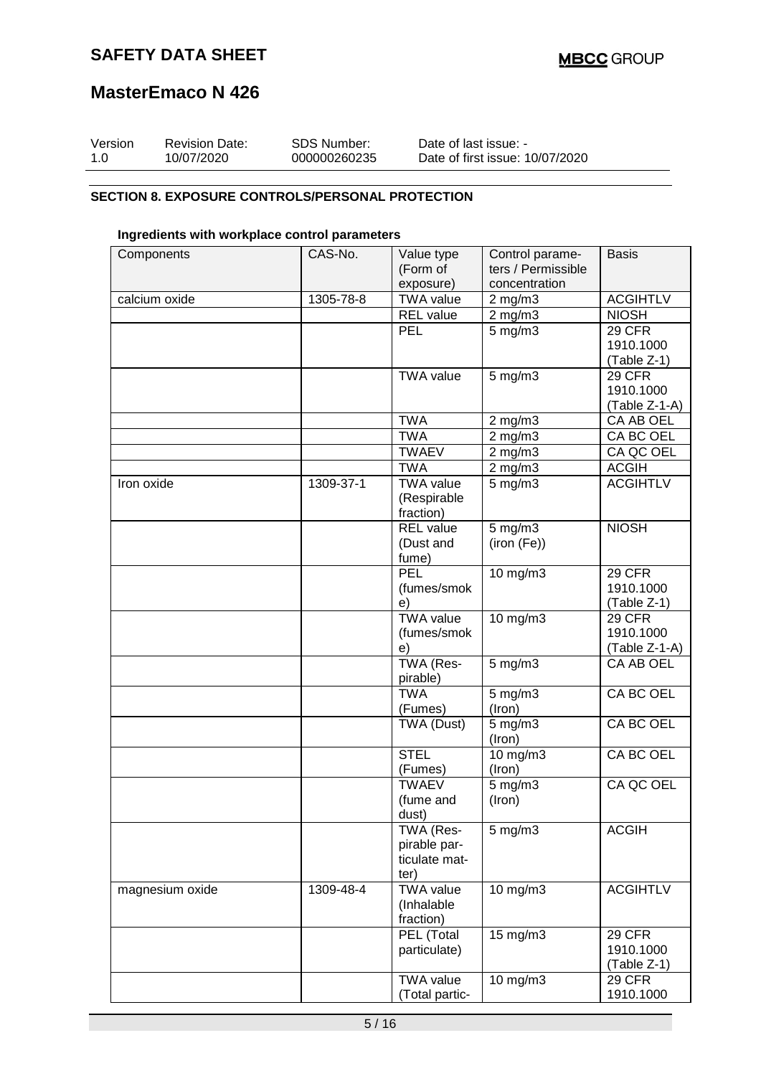## **MasterEmaco N 426**

| Version | <b>Revision Date:</b> | SDS Number:  | Date of last issue: -           |
|---------|-----------------------|--------------|---------------------------------|
| 1.0     | 10/07/2020            | 000000260235 | Date of first issue: 10/07/2020 |

### **SECTION 8. EXPOSURE CONTROLS/PERSONAL PROTECTION**

### **Ingredients with workplace control parameters**

| Components      | CAS-No.   | Value type            | Control parame-    | <b>Basis</b>     |
|-----------------|-----------|-----------------------|--------------------|------------------|
|                 |           | (Form of              | ters / Permissible |                  |
|                 |           | exposure)             | concentration      |                  |
| calcium oxide   | 1305-78-8 | <b>TWA value</b>      | $2$ mg/m $3$       | <b>ACGIHTLV</b>  |
|                 |           | <b>REL</b> value      | $2 \text{ mg/m}$   | <b>NIOSH</b>     |
|                 |           | PEL                   | $5$ mg/m $3$       | <b>29 CFR</b>    |
|                 |           |                       |                    | 1910.1000        |
|                 |           |                       |                    | (Table Z-1)      |
|                 |           | <b>TWA value</b>      | $5$ mg/m $3$       | 29 CFR           |
|                 |           |                       |                    | 1910.1000        |
|                 |           |                       |                    | (Table Z-1-A)    |
|                 |           | <b>TWA</b>            | $2$ mg/m $3$       | CA AB OEL        |
|                 |           | <b>TWA</b>            | $2$ mg/m $3$       | CA BC OEL        |
|                 |           | <b>TWAEV</b>          | $2$ mg/m $3$       | CA QC OEL        |
|                 |           | <b>TWA</b>            | $2$ mg/m $3$       | <b>ACGIH</b>     |
| Iron oxide      | 1309-37-1 | <b>TWA value</b>      | $5$ mg/m $3$       | <b>ACGIHTLV</b>  |
|                 |           | (Respirable           |                    |                  |
|                 |           | fraction)             |                    |                  |
|                 |           | <b>REL</b> value      | $5$ mg/m $3$       | <b>NIOSH</b>     |
|                 |           | (Dust and             | (iron (Fe))        |                  |
|                 |           | fume)                 |                    |                  |
|                 |           | <b>PEL</b>            | 10 mg/m3           | 29 CFR           |
|                 |           | (fumes/smok           |                    | 1910.1000        |
|                 |           | e)                    |                    | (Table Z-1)      |
|                 |           | <b>TWA value</b>      | 10 mg/m3           | 29 CFR           |
|                 |           | (fumes/smok           |                    | 1910.1000        |
|                 |           | e)                    |                    | (Table Z-1-A)    |
|                 |           | TWA (Res-<br>pirable) | $5$ mg/m $3$       | <b>CA AB OEL</b> |
|                 |           | <b>TWA</b>            | $5$ mg/m $3$       | CA BC OEL        |
|                 |           | (Fumes)               | (Iron)             |                  |
|                 |           | TWA (Dust)            | $5 \text{ mg/m}$   | CA BC OEL        |
|                 |           |                       | (Iron)             |                  |
|                 |           | <b>STEL</b>           | 10 mg/m3           | CA BC OEL        |
|                 |           | (Fumes)               | (Iron)             |                  |
|                 |           | <b>TWAEV</b>          | 5 mg/m3            | CA QC OEL        |
|                 |           | (fume and             | (Iron)             |                  |
|                 |           | dust)                 |                    |                  |
|                 |           | TWA (Res-             | $5$ mg/m $3$       | <b>ACGIH</b>     |
|                 |           | pirable par-          |                    |                  |
|                 |           | ticulate mat-         |                    |                  |
|                 |           | ter)                  |                    |                  |
| magnesium oxide | 1309-48-4 | <b>TWA value</b>      | 10 mg/m3           | <b>ACGIHTLV</b>  |
|                 |           | (Inhalable            |                    |                  |
|                 |           | fraction)             |                    |                  |
|                 |           | PEL (Total            | 15 mg/m3           | <b>29 CFR</b>    |
|                 |           | particulate)          |                    | 1910.1000        |
|                 |           |                       |                    | (Table Z-1)      |
|                 |           | <b>TWA value</b>      | 10 mg/m3           | <b>29 CFR</b>    |
|                 |           | (Total partic-        |                    | 1910.1000        |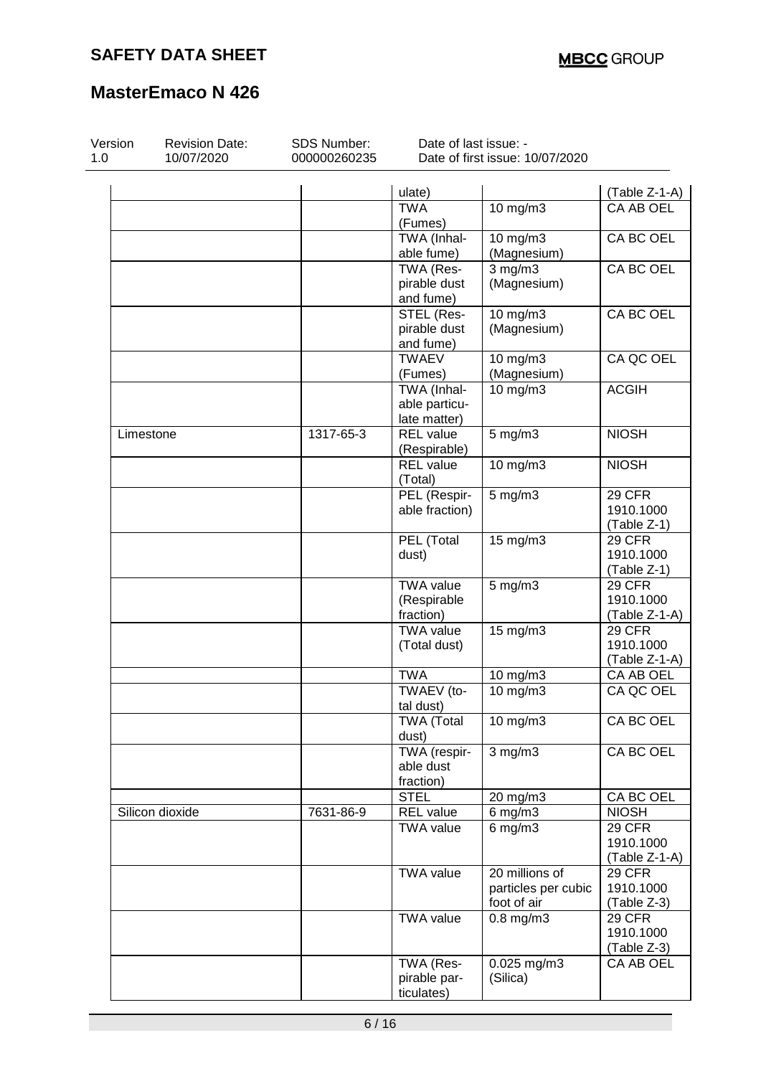| Version<br>1.0 | <b>Revision Date:</b><br>10/07/2020 | SDS Number:<br>000000260235 | Date of last issue: - | Date of first issue: 10/07/2020    |               |
|----------------|-------------------------------------|-----------------------------|-----------------------|------------------------------------|---------------|
|                |                                     |                             | ulate)                |                                    | (Table Z-1-A) |
|                |                                     |                             | <b>TWA</b>            | 10 $mg/m3$                         | CA AB OEL     |
|                |                                     |                             | (Fumes)               |                                    |               |
|                |                                     |                             | TWA (Inhal-           | 10 mg/m3                           | CA BC OEL     |
|                |                                     |                             | able fume)            | (Magnesium)                        |               |
|                |                                     |                             | TWA (Res-             | $3$ mg/m $3$                       | CA BC OEL     |
|                |                                     |                             | pirable dust          | (Magnesium)                        |               |
|                |                                     |                             | and fume)             |                                    |               |
|                |                                     |                             | STEL (Res-            | 10 mg/m3                           | CA BC OEL     |
|                |                                     |                             | pirable dust          | (Magnesium)                        |               |
|                |                                     |                             | and fume)             |                                    |               |
|                |                                     |                             | <b>TWAEV</b>          | 10 mg/m3                           | CA QC OEL     |
|                |                                     |                             | (Fumes)               | (Magnesium)                        |               |
|                |                                     |                             | TWA (Inhal-           | 10 mg/m3                           | <b>ACGIH</b>  |
|                |                                     |                             | able particu-         |                                    |               |
|                |                                     |                             | late matter)          |                                    |               |
| Limestone      |                                     | 1317-65-3                   | <b>REL</b> value      | $5$ mg/m $3$                       | <b>NIOSH</b>  |
|                |                                     |                             | (Respirable)          |                                    |               |
|                |                                     |                             | <b>REL</b> value      | 10 mg/m3                           | <b>NIOSH</b>  |
|                |                                     |                             | (Total)               |                                    |               |
|                |                                     |                             | PEL (Respir-          | $5$ mg/m $3$                       | 29 CFR        |
|                |                                     |                             | able fraction)        |                                    | 1910.1000     |
|                |                                     |                             |                       |                                    | (Table Z-1)   |
|                |                                     |                             | PEL (Total            | $15 \text{ mg/m}$                  | 29 CFR        |
|                |                                     |                             | dust)                 |                                    | 1910.1000     |
|                |                                     |                             |                       |                                    | (Table Z-1)   |
|                |                                     |                             | <b>TWA value</b>      | $5 \overline{\text{mg}}/\text{m}3$ | 29 CFR        |
|                |                                     |                             | (Respirable           |                                    | 1910.1000     |
|                |                                     |                             | fraction)             |                                    | (Table Z-1-A) |
|                |                                     |                             | <b>TWA value</b>      | 15 mg/m3                           | 29 CFR        |
|                |                                     |                             | (Total dust)          |                                    | 1910.1000     |
|                |                                     |                             |                       |                                    | (Table Z-1-A) |
|                |                                     |                             | <b>TWA</b>            | 10 mg/m3                           | CA AB OEL     |
|                |                                     |                             | TWAEV (to-            | 10 mg/m3                           | CA QC OEL     |
|                |                                     |                             | tal dust)             |                                    |               |
|                |                                     |                             | <b>TWA (Total</b>     | 10 mg/m3                           | CA BC OEL     |
|                |                                     |                             | dust)                 |                                    |               |
|                |                                     |                             | TWA (respir-          | $3$ mg/m $3$                       | CA BC OEL     |
|                |                                     |                             | able dust             |                                    |               |
|                |                                     |                             | fraction)             |                                    |               |
|                |                                     |                             | <b>STEL</b>           | 20 mg/m3                           | CA BC OEL     |
|                | Silicon dioxide                     | 7631-86-9                   | <b>REL value</b>      | $6$ mg/m $3$                       | <b>NIOSH</b>  |
|                |                                     |                             | <b>TWA value</b>      | $6$ mg/m $3$                       | 29 CFR        |
|                |                                     |                             |                       |                                    | 1910.1000     |
|                |                                     |                             |                       |                                    | (Table Z-1-A) |
|                |                                     |                             | <b>TWA value</b>      | 20 millions of                     | <b>29 CFR</b> |
|                |                                     |                             |                       | particles per cubic                | 1910.1000     |
|                |                                     |                             |                       | foot of air                        | (Table Z-3)   |
|                |                                     |                             | <b>TWA value</b>      | $0.8$ mg/m $3$                     | <b>29 CFR</b> |
|                |                                     |                             |                       |                                    | 1910.1000     |
|                |                                     |                             |                       |                                    | (Table Z-3)   |
|                |                                     |                             | TWA (Res-             | 0.025 mg/m3                        | CA AB OEL     |
|                |                                     |                             | pirable par-          | (Silica)                           |               |
|                |                                     |                             | ticulates)            |                                    |               |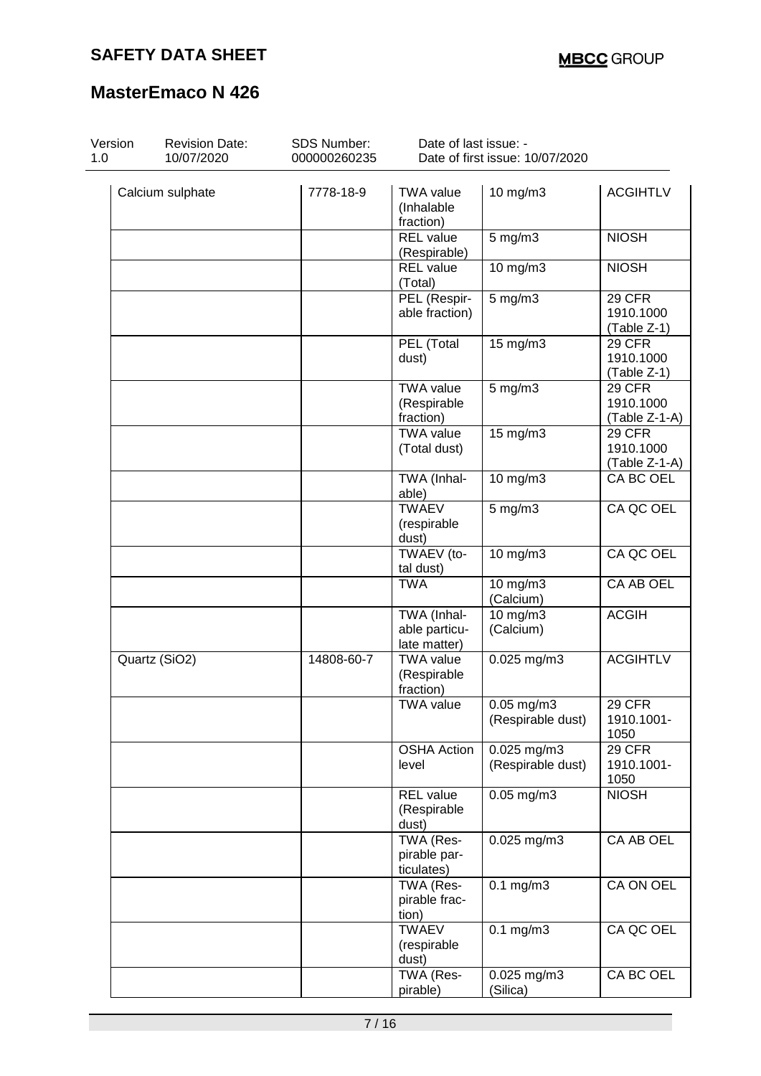| Version<br>1.0 | <b>Revision Date:</b><br>10/07/2020 | SDS Number:<br>000000260235 | Date of last issue: -                        | Date of first issue: 10/07/2020      |                                           |
|----------------|-------------------------------------|-----------------------------|----------------------------------------------|--------------------------------------|-------------------------------------------|
|                | Calcium sulphate                    | 7778-18-9                   | TWA value<br>(Inhalable<br>fraction)         | 10 mg/m3                             | <b>ACGIHTLV</b>                           |
|                |                                     |                             | <b>REL</b> value<br>(Respirable)             | $5$ mg/m $3$                         | <b>NIOSH</b>                              |
|                |                                     |                             | <b>REL</b> value<br>(Total)                  | 10 mg/m3                             | <b>NIOSH</b>                              |
|                |                                     |                             | PEL (Respir-<br>able fraction)               | $5$ mg/m $3$                         | 29 CFR<br>1910.1000<br>(Table Z-1)        |
|                |                                     |                             | PEL (Total<br>dust)                          | 15 mg/m3                             | <b>29 CFR</b><br>1910.1000<br>(Table Z-1) |
|                |                                     |                             | <b>TWA value</b><br>(Respirable<br>fraction) | $5$ mg/m $3$                         | 29 CFR<br>1910.1000<br>$(Table Z-1-A)$    |
|                |                                     |                             | <b>TWA value</b><br>(Total dust)             | 15 $mg/m3$                           | 29 CFR<br>1910.1000<br>(Table Z-1-A)      |
|                |                                     |                             | TWA (Inhal-<br>able)                         | $10$ mg/m $3$                        | CA BC OEL                                 |
|                |                                     |                             | <b>TWAEV</b><br>(respirable<br>dust)         | $5$ mg/m $3$                         | CA QC OEL                                 |
|                |                                     |                             | TWAEV (to-<br>tal dust)                      | 10 mg/m3                             | CA QC OEL                                 |
|                |                                     |                             | <b>TWA</b>                                   | 10 mg/m3<br>(Calcium)                | <b>CA AB OEL</b>                          |
|                |                                     |                             | TWA (Inhal-<br>able particu-<br>late matter) | 10 mg/m3<br>(Calcium)                | <b>ACGIH</b>                              |
|                | Quartz (SiO2)                       | 14808-60-7                  | <b>TWA</b> value<br>(Respirable<br>fraction) | $0.025$ mg/m $3$                     | <b>ACGIHTLV</b>                           |
|                |                                     |                             | <b>TWA value</b>                             | $0.05$ mg/m $3$<br>(Respirable dust) | 29 CFR<br>1910.1001-<br>1050              |
|                |                                     |                             | <b>OSHA Action</b><br>level                  | 0.025 mg/m3<br>(Respirable dust)     | 29 CFR<br>1910.1001-<br>1050              |
|                |                                     |                             | REL value<br>(Respirable<br>dust)            | $0.05$ mg/m3                         | <b>NIOSH</b>                              |
|                |                                     |                             | TWA (Res-<br>pirable par-<br>ticulates)      | 0.025 mg/m3                          | CA AB OEL                                 |
|                |                                     |                             | TWA (Res-<br>pirable frac-<br>tion)          | $0.1$ mg/m $3$                       | CA ON OEL                                 |
|                |                                     |                             | <b>TWAEV</b><br>(respirable<br>dust)         | $0.1$ mg/m $3$                       | CA QC OEL                                 |
|                |                                     |                             | TWA (Res-<br>pirable)                        | $0.025$ mg/m3<br>(Silica)            | CA BC OEL                                 |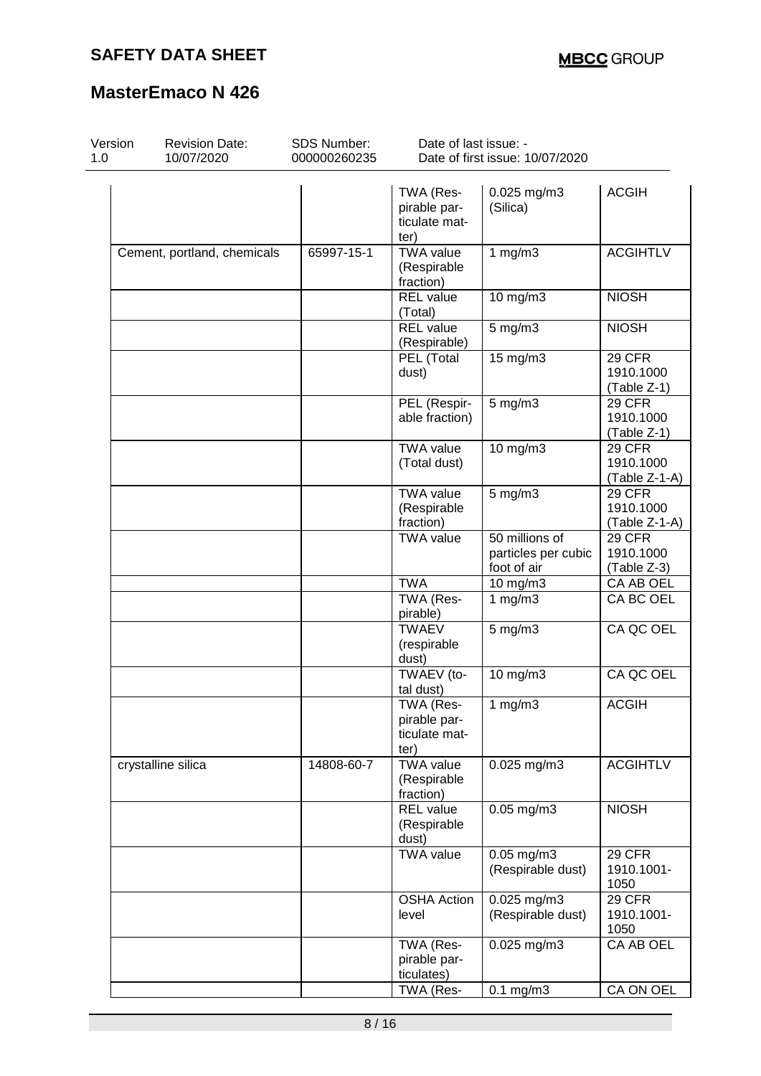| Version<br>1.0 | <b>Revision Date:</b><br>10/07/2020 | <b>SDS Number:</b><br>000000260235 | Date of last issue: -                              | Date of first issue: 10/07/2020                      |                                             |
|----------------|-------------------------------------|------------------------------------|----------------------------------------------------|------------------------------------------------------|---------------------------------------------|
|                |                                     |                                    | TWA (Res-<br>pirable par-<br>ticulate mat-<br>ter) | $0.025$ mg/m3<br>(Silica)                            | <b>ACGIH</b>                                |
|                | Cement, portland, chemicals         | 65997-15-1                         | <b>TWA value</b><br>(Respirable<br>fraction)       | 1 $mg/m3$                                            | <b>ACGIHTLV</b>                             |
|                |                                     |                                    | <b>REL</b> value<br>(Total)                        | 10 mg/m3                                             | <b>NIOSH</b>                                |
|                |                                     |                                    | <b>REL</b> value<br>(Respirable)                   | $5$ mg/m $3$                                         | <b>NIOSH</b>                                |
|                |                                     |                                    | PEL (Total<br>dust)                                | 15 mg/m3                                             | <b>29 CFR</b><br>1910.1000<br>(Table Z-1)   |
|                |                                     |                                    | PEL (Respir-<br>able fraction)                     | $5$ mg/m $3$                                         | 29 CFR<br>1910.1000<br>(Table Z-1)          |
|                |                                     |                                    | <b>TWA value</b><br>(Total dust)                   | 10 mg/m3                                             | 29 CFR<br>1910.1000<br>(Table Z-1-A)        |
|                |                                     |                                    | <b>TWA value</b><br>(Respirable<br>fraction)       | 5 mg/m3                                              | <b>29 CFR</b><br>1910.1000<br>(Table Z-1-A) |
|                |                                     |                                    | <b>TWA value</b>                                   | 50 millions of<br>particles per cubic<br>foot of air | 29 CFR<br>1910.1000<br>(Table Z-3)          |
|                |                                     |                                    | <b>TWA</b>                                         | 10 mg/m3                                             | CA AB OEL                                   |
|                |                                     |                                    | TWA (Res-<br>pirable)                              | 1 $mg/m3$                                            | CA BC OEL                                   |
|                |                                     |                                    | <b>TWAEV</b><br>(respirable<br>dust)               | $5$ mg/m $3$                                         | CA QC OEL                                   |
|                |                                     |                                    | TWAEV (to-<br>tal dust)                            | $10$ mg/m $3$                                        | CA QC OEL                                   |
|                |                                     |                                    | TWA (Res-<br>pirable par-<br>ticulate mat-<br>ter) | 1 $mg/m3$                                            | <b>ACGIH</b>                                |
|                | crystalline silica                  | 14808-60-7                         | <b>TWA value</b><br>(Respirable<br>fraction)       | $0.025$ mg/m3                                        | <b>ACGIHTLV</b>                             |
|                |                                     |                                    | <b>REL value</b><br>(Respirable<br>dust)           | $0.05$ mg/m $3$                                      | <b>NIOSH</b>                                |
|                |                                     |                                    | <b>TWA value</b>                                   | $0.05$ mg/m $3$<br>(Respirable dust)                 | <b>29 CFR</b><br>1910.1001-<br>1050         |
|                |                                     |                                    | <b>OSHA Action</b><br>level                        | 0.025 mg/m3<br>(Respirable dust)                     | <b>29 CFR</b><br>1910.1001-<br>1050         |
|                |                                     |                                    | TWA (Res-<br>pirable par-<br>ticulates)            | 0.025 mg/m3                                          | CA AB OEL                                   |
|                |                                     |                                    | TWA (Res-                                          | $0.1$ mg/m $3$                                       | CA ON OEL                                   |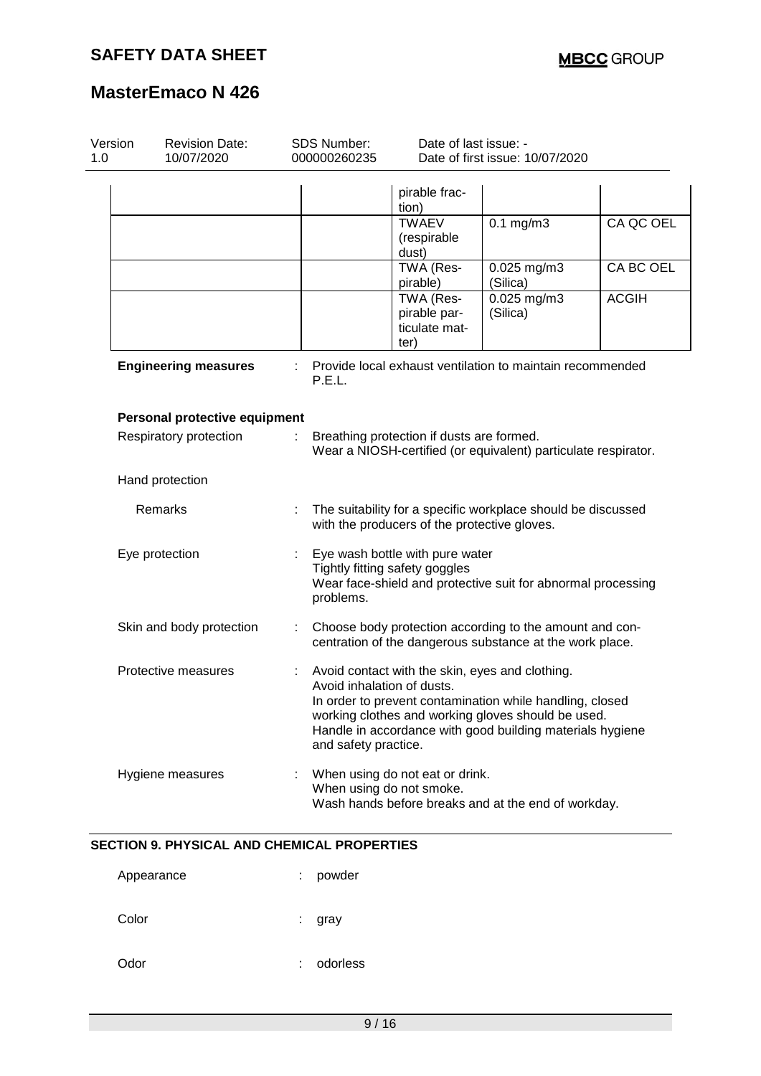| Version<br>1.0 | <b>Revision Date:</b><br>10/07/2020 |   | <b>SDS Number:</b><br>000000260235                                                                                                                                                                                                                                                   | Date of last issue: -                              | Date of first issue: 10/07/2020                     |              |
|----------------|-------------------------------------|---|--------------------------------------------------------------------------------------------------------------------------------------------------------------------------------------------------------------------------------------------------------------------------------------|----------------------------------------------------|-----------------------------------------------------|--------------|
|                |                                     |   |                                                                                                                                                                                                                                                                                      | pirable frac-<br>tion)                             |                                                     |              |
|                |                                     |   |                                                                                                                                                                                                                                                                                      | <b>TWAEV</b><br>(respirable<br>dust)               | $0.1$ mg/m $3$                                      | CA QC OEL    |
|                |                                     |   |                                                                                                                                                                                                                                                                                      | TWA (Res-<br>pirable)                              | 0.025 mg/m3<br>(Silica)                             | CA BC OEL    |
|                |                                     |   |                                                                                                                                                                                                                                                                                      | TWA (Res-<br>pirable par-<br>ticulate mat-<br>ter) | $0.025$ mg/m3<br>(Silica)                           | <b>ACGIH</b> |
|                | <b>Engineering measures</b>         |   | Provide local exhaust ventilation to maintain recommended<br>P.E.L.                                                                                                                                                                                                                  |                                                    |                                                     |              |
|                | Personal protective equipment       |   |                                                                                                                                                                                                                                                                                      |                                                    |                                                     |              |
|                | Respiratory protection              |   | Breathing protection if dusts are formed.<br>Wear a NIOSH-certified (or equivalent) particulate respirator.                                                                                                                                                                          |                                                    |                                                     |              |
|                | Hand protection                     |   |                                                                                                                                                                                                                                                                                      |                                                    |                                                     |              |
|                | Remarks                             | ÷ | The suitability for a specific workplace should be discussed<br>with the producers of the protective gloves.                                                                                                                                                                         |                                                    |                                                     |              |
|                | Eye protection                      |   | Eye wash bottle with pure water<br>Tightly fitting safety goggles<br>Wear face-shield and protective suit for abnormal processing<br>problems.                                                                                                                                       |                                                    |                                                     |              |
|                | Skin and body protection            |   | Choose body protection according to the amount and con-<br>centration of the dangerous substance at the work place.                                                                                                                                                                  |                                                    |                                                     |              |
|                | Protective measures                 | ÷ | Avoid contact with the skin, eyes and clothing.<br>Avoid inhalation of dusts.<br>In order to prevent contamination while handling, closed<br>working clothes and working gloves should be used.<br>Handle in accordance with good building materials hygiene<br>and safety practice. |                                                    |                                                     |              |
|                | Hygiene measures                    |   | When using do not smoke.                                                                                                                                                                                                                                                             | When using do not eat or drink.                    | Wash hands before breaks and at the end of workday. |              |

### **SECTION 9. PHYSICAL AND CHEMICAL PROPERTIES**

| Appearance | t. | powder   |
|------------|----|----------|
| Color      | ÷  | gray     |
| Odor       | ÷  | odorless |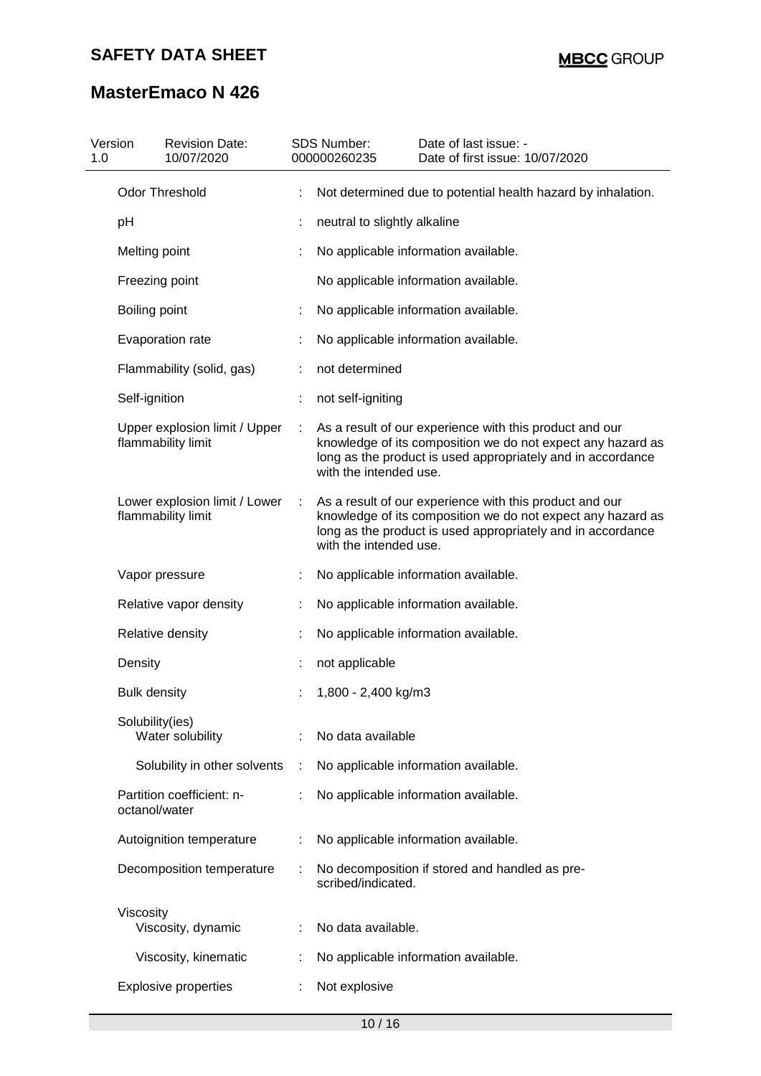| Version<br>1.0 | <b>Revision Date:</b><br>10/07/2020                 | <b>SDS Number:</b><br>000000260235 | Date of last issue: -<br>Date of first issue: 10/07/2020                                                                                                                              |  |  |  |
|----------------|-----------------------------------------------------|------------------------------------|---------------------------------------------------------------------------------------------------------------------------------------------------------------------------------------|--|--|--|
|                | Odor Threshold                                      |                                    | Not determined due to potential health hazard by inhalation.                                                                                                                          |  |  |  |
|                | pH                                                  | neutral to slightly alkaline       |                                                                                                                                                                                       |  |  |  |
|                | Melting point                                       |                                    | No applicable information available.                                                                                                                                                  |  |  |  |
|                | Freezing point                                      |                                    | No applicable information available.                                                                                                                                                  |  |  |  |
|                | Boiling point                                       |                                    | No applicable information available.                                                                                                                                                  |  |  |  |
|                | Evaporation rate                                    |                                    | No applicable information available.                                                                                                                                                  |  |  |  |
|                | Flammability (solid, gas)                           | not determined                     |                                                                                                                                                                                       |  |  |  |
|                | Self-ignition                                       | not self-igniting                  |                                                                                                                                                                                       |  |  |  |
|                | Upper explosion limit / Upper<br>flammability limit | with the intended use.             | As a result of our experience with this product and our<br>knowledge of its composition we do not expect any hazard as<br>long as the product is used appropriately and in accordance |  |  |  |
|                | Lower explosion limit / Lower<br>flammability limit | with the intended use.             | As a result of our experience with this product and our<br>knowledge of its composition we do not expect any hazard as<br>long as the product is used appropriately and in accordance |  |  |  |
|                | Vapor pressure                                      |                                    | No applicable information available.                                                                                                                                                  |  |  |  |
|                | Relative vapor density                              |                                    | No applicable information available.                                                                                                                                                  |  |  |  |
|                | Relative density                                    |                                    | No applicable information available.                                                                                                                                                  |  |  |  |
|                | Density                                             | not applicable                     |                                                                                                                                                                                       |  |  |  |
|                | <b>Bulk density</b>                                 | 1,800 - 2,400 kg/m3                |                                                                                                                                                                                       |  |  |  |
|                | Solubility(ies)<br>Water solubility                 | No data available                  |                                                                                                                                                                                       |  |  |  |
|                | Solubility in other solvents                        |                                    | No applicable information available.                                                                                                                                                  |  |  |  |
|                | Partition coefficient: n-<br>octanol/water          |                                    | No applicable information available.                                                                                                                                                  |  |  |  |
|                | Autoignition temperature                            |                                    | No applicable information available.                                                                                                                                                  |  |  |  |
|                | Decomposition temperature                           | scribed/indicated.                 | No decomposition if stored and handled as pre-                                                                                                                                        |  |  |  |
|                | Viscosity<br>Viscosity, dynamic                     | No data available.                 |                                                                                                                                                                                       |  |  |  |
|                | Viscosity, kinematic                                |                                    | No applicable information available.                                                                                                                                                  |  |  |  |
|                | <b>Explosive properties</b>                         | Not explosive                      |                                                                                                                                                                                       |  |  |  |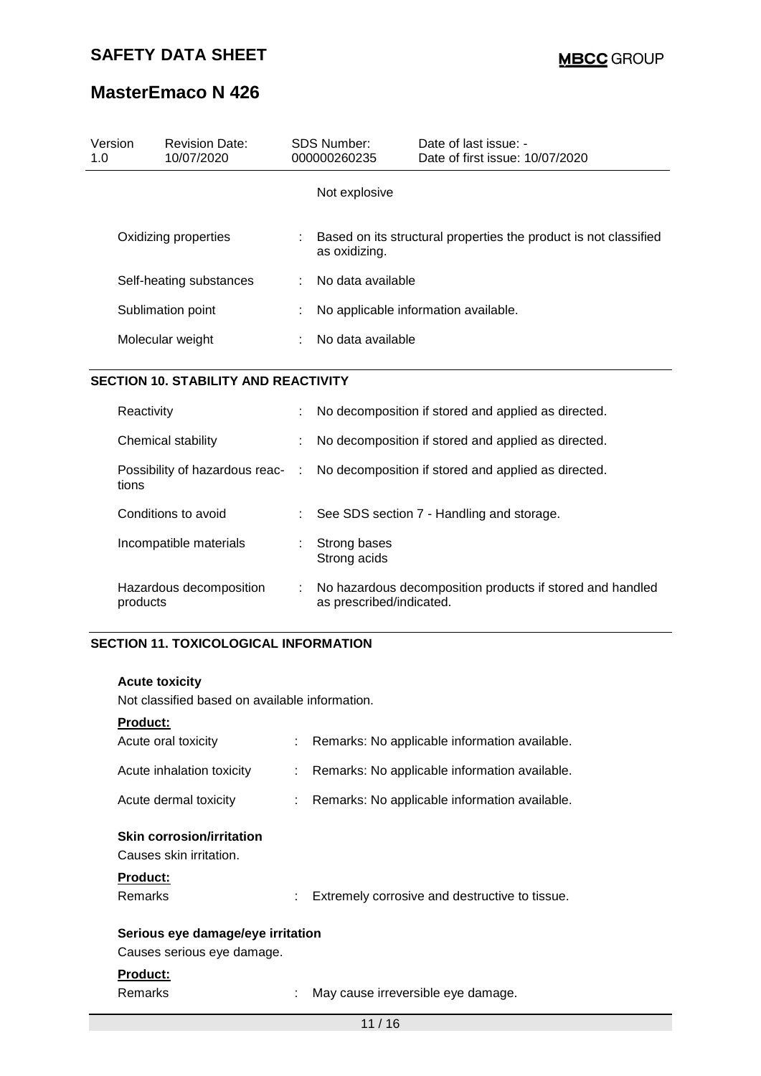| Version<br>1.0          | <b>Revision Date:</b><br>10/07/2020 |    | <b>SDS Number:</b><br>000000260235 | Date of last issue: -<br>Date of first issue: 10/07/2020         |
|-------------------------|-------------------------------------|----|------------------------------------|------------------------------------------------------------------|
|                         |                                     |    | Not explosive                      |                                                                  |
|                         | Oxidizing properties                |    | as oxidizing.                      | Based on its structural properties the product is not classified |
| Self-heating substances |                                     | ÷. | No data available                  |                                                                  |
| Sublimation point       |                                     | ÷  |                                    | No applicable information available.                             |
|                         | Molecular weight                    |    | No data available                  |                                                                  |

### **SECTION 10. STABILITY AND REACTIVITY**

| Reactivity                              |    | No decomposition if stored and applied as directed.                                   |
|-----------------------------------------|----|---------------------------------------------------------------------------------------|
| Chemical stability                      |    | No decomposition if stored and applied as directed.                                   |
| Possibility of hazardous reac-<br>tions | ÷. | No decomposition if stored and applied as directed.                                   |
| Conditions to avoid                     |    | See SDS section 7 - Handling and storage.                                             |
| Incompatible materials                  | ÷. | Strong bases<br>Strong acids                                                          |
| Hazardous decomposition<br>products     |    | No hazardous decomposition products if stored and handled<br>as prescribed/indicated. |

### **SECTION 11. TOXICOLOGICAL INFORMATION**

#### **Acute toxicity**

Not classified based on available information.

#### **Product:**

| Acute oral toxicity                                                                       |    | : Remarks: No applicable information available. |
|-------------------------------------------------------------------------------------------|----|-------------------------------------------------|
| Acute inhalation toxicity                                                                 |    | Remarks: No applicable information available.   |
| Acute dermal toxicity                                                                     |    | : Remarks: No applicable information available. |
| <b>Skin corrosion/irritation</b><br>Causes skin irritation.<br><b>Product:</b><br>Remarks | t. | Extremely corrosive and destructive to tissue.  |
| Serious eye damage/eye irritation<br>Causes serious eye damage.                           |    |                                                 |
| <b>Product:</b><br>Remarks                                                                |    | May cause irreversible eye damage.              |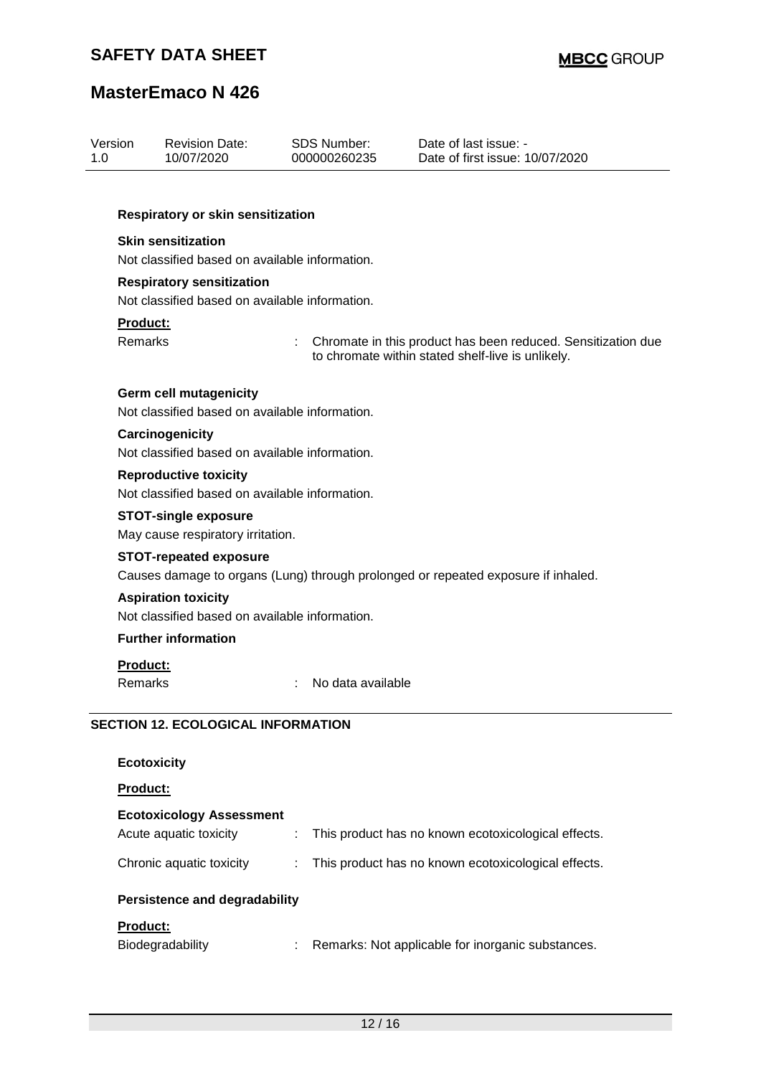| Version<br>1.0             | <b>Revision Date:</b><br>10/07/2020                                                                        | <b>SDS Number:</b><br>000000260235 | Date of last issue: -<br>Date of first issue: 10/07/2020                                                          |  |  |  |  |  |  |
|----------------------------|------------------------------------------------------------------------------------------------------------|------------------------------------|-------------------------------------------------------------------------------------------------------------------|--|--|--|--|--|--|
|                            | Respiratory or skin sensitization                                                                          |                                    |                                                                                                                   |  |  |  |  |  |  |
|                            | <b>Skin sensitization</b><br>Not classified based on available information.                                |                                    |                                                                                                                   |  |  |  |  |  |  |
|                            | <b>Respiratory sensitization</b><br>Not classified based on available information.                         |                                    |                                                                                                                   |  |  |  |  |  |  |
| <b>Product:</b><br>Remarks |                                                                                                            |                                    | Chromate in this product has been reduced. Sensitization due<br>to chromate within stated shelf-live is unlikely. |  |  |  |  |  |  |
|                            | <b>Germ cell mutagenicity</b><br>Not classified based on available information.                            |                                    |                                                                                                                   |  |  |  |  |  |  |
|                            | Carcinogenicity<br>Not classified based on available information.                                          |                                    |                                                                                                                   |  |  |  |  |  |  |
|                            | <b>Reproductive toxicity</b><br>Not classified based on available information.                             |                                    |                                                                                                                   |  |  |  |  |  |  |
|                            | <b>STOT-single exposure</b><br>May cause respiratory irritation.                                           |                                    |                                                                                                                   |  |  |  |  |  |  |
|                            | <b>STOT-repeated exposure</b>                                                                              |                                    | Causes damage to organs (Lung) through prolonged or repeated exposure if inhaled.                                 |  |  |  |  |  |  |
|                            | <b>Aspiration toxicity</b><br>Not classified based on available information.<br><b>Further information</b> |                                    |                                                                                                                   |  |  |  |  |  |  |
| <b>Product:</b><br>Remarks |                                                                                                            | No data available                  |                                                                                                                   |  |  |  |  |  |  |
|                            | <b>SECTION 12. ECOLOGICAL INFORMATION</b>                                                                  |                                    |                                                                                                                   |  |  |  |  |  |  |
|                            | <b>Ecotoxicity</b>                                                                                         |                                    |                                                                                                                   |  |  |  |  |  |  |
| <b>Product:</b>            |                                                                                                            |                                    |                                                                                                                   |  |  |  |  |  |  |
|                            | <b>Ecotoxicology Assessment</b><br>Acute aquatic toxicity                                                  | ÷                                  | This product has no known ecotoxicological effects.                                                               |  |  |  |  |  |  |

## Chronic aquatic toxicity : This product has no known ecotoxicological effects.

## **Persistence and degradability**

## **Product:**

| <b>Biodegradability</b> | Remarks: Not applicable for inorganic substances. |
|-------------------------|---------------------------------------------------|
|-------------------------|---------------------------------------------------|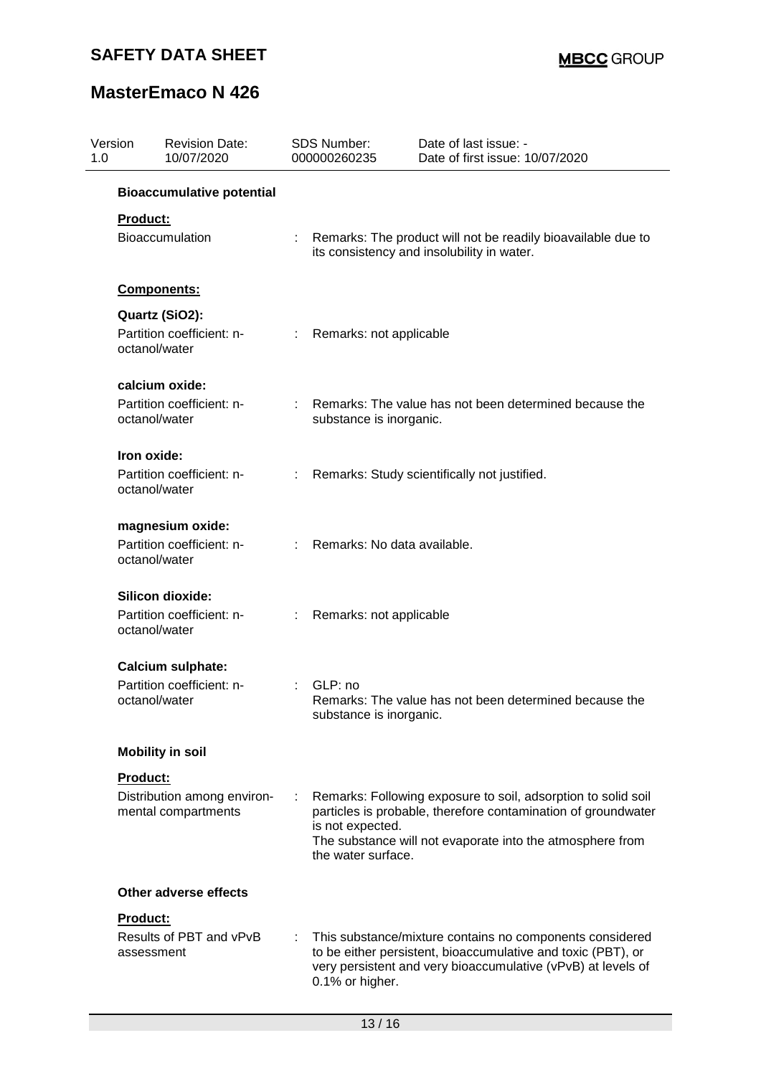| Version<br>1.0 |                 | <b>Revision Date:</b><br>10/07/2020                | <b>SDS Number:</b><br>000000260235     | Date of last issue: -<br>Date of first issue: 10/07/2020                                                                                                                                    |
|----------------|-----------------|----------------------------------------------------|----------------------------------------|---------------------------------------------------------------------------------------------------------------------------------------------------------------------------------------------|
|                |                 | <b>Bioaccumulative potential</b>                   |                                        |                                                                                                                                                                                             |
|                | Product:        |                                                    |                                        |                                                                                                                                                                                             |
|                |                 | Bioaccumulation                                    |                                        | Remarks: The product will not be readily bioavailable due to<br>its consistency and insolubility in water.                                                                                  |
|                |                 | <b>Components:</b>                                 |                                        |                                                                                                                                                                                             |
|                |                 | Quartz (SiO2):                                     |                                        |                                                                                                                                                                                             |
|                |                 | Partition coefficient: n-<br>octanol/water         | Remarks: not applicable                |                                                                                                                                                                                             |
|                |                 | calcium oxide:                                     |                                        |                                                                                                                                                                                             |
|                |                 | Partition coefficient: n-<br>octanol/water         | substance is inorganic.                | Remarks: The value has not been determined because the                                                                                                                                      |
|                |                 | Iron oxide:                                        |                                        |                                                                                                                                                                                             |
|                |                 | Partition coefficient: n-<br>octanol/water         |                                        | Remarks: Study scientifically not justified.                                                                                                                                                |
|                |                 | magnesium oxide:                                   |                                        |                                                                                                                                                                                             |
|                |                 | Partition coefficient: n-<br>octanol/water         | Remarks: No data available.            |                                                                                                                                                                                             |
|                |                 | Silicon dioxide:                                   |                                        |                                                                                                                                                                                             |
|                |                 | Partition coefficient: n-<br>octanol/water         | Remarks: not applicable                |                                                                                                                                                                                             |
|                |                 | Calcium sulphate:                                  |                                        |                                                                                                                                                                                             |
|                |                 | Partition coefficient: n-<br>octanol/water         | GLP: no<br>substance is inorganic.     | Remarks: The value has not been determined because the                                                                                                                                      |
|                |                 | <b>Mobility in soil</b>                            |                                        |                                                                                                                                                                                             |
|                | <b>Product:</b> |                                                    |                                        |                                                                                                                                                                                             |
|                |                 | Distribution among environ-<br>mental compartments | is not expected.<br>the water surface. | Remarks: Following exposure to soil, adsorption to solid soil<br>particles is probable, therefore contamination of groundwater<br>The substance will not evaporate into the atmosphere from |
|                |                 | Other adverse effects                              |                                        |                                                                                                                                                                                             |
|                | Product:        |                                                    |                                        |                                                                                                                                                                                             |
|                |                 | Results of PBT and vPvB<br>assessment              | 0.1% or higher.                        | This substance/mixture contains no components considered<br>to be either persistent, bioaccumulative and toxic (PBT), or<br>very persistent and very bioaccumulative (vPvB) at levels of    |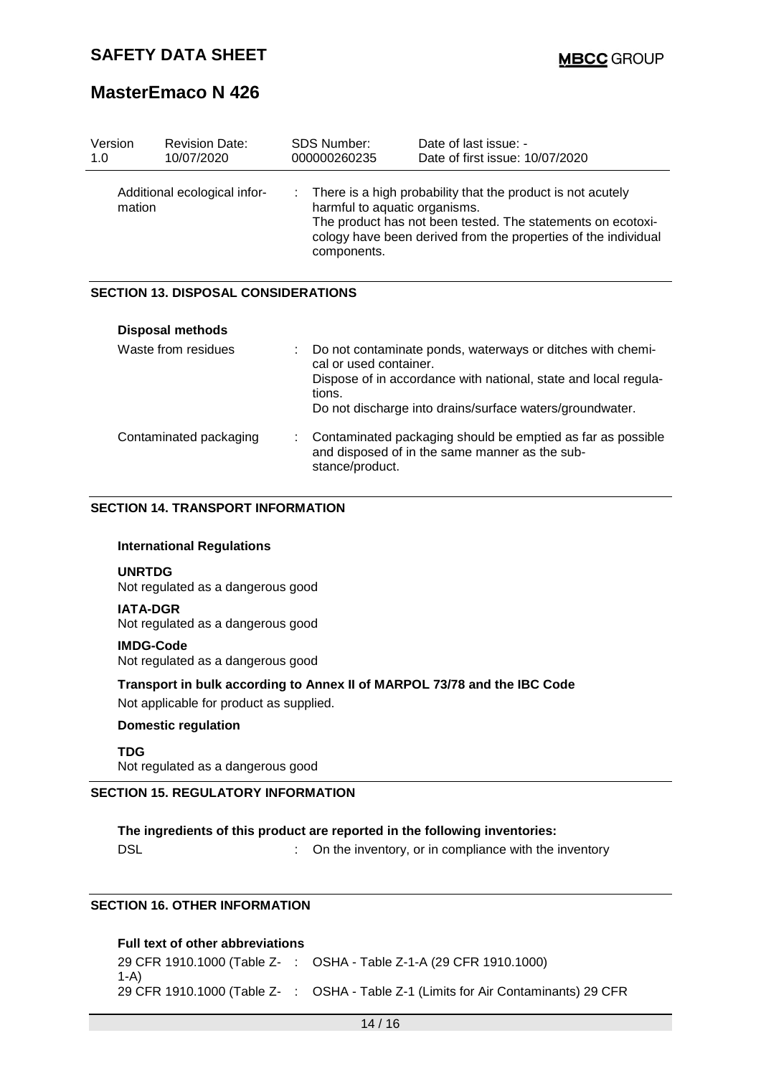| Version<br>1.0                             | <b>Revision Date:</b><br>10/07/2020 | SDS Number:<br>000000260235                        | Date of last issue: -<br>Date of first issue: 10/07/2020                                                                                                                                     |  |  |  |
|--------------------------------------------|-------------------------------------|----------------------------------------------------|----------------------------------------------------------------------------------------------------------------------------------------------------------------------------------------------|--|--|--|
| mation                                     | Additional ecological infor-        | ÷.<br>harmful to aquatic organisms.<br>components. | There is a high probability that the product is not acutely<br>The product has not been tested. The statements on ecotoxi-<br>cology have been derived from the properties of the individual |  |  |  |
| <b>SECTION 13. DISPOSAL CONSIDERATIONS</b> |                                     |                                                    |                                                                                                                                                                                              |  |  |  |
|                                            | <b>Disposal methods</b>             |                                                    |                                                                                                                                                                                              |  |  |  |
|                                            | Waste from residues                 | ÷.<br>cal or used container.<br>tions.             | Do not contaminate ponds, waterways or ditches with chemi-<br>Dispose of in accordance with national, state and local regula-<br>Do not discharge into drains/surface waters/groundwater.    |  |  |  |
|                                            | Contaminated packaging              |                                                    | Contaminated packaging should be emptied as far as possible<br>and disposed of in the same manner as the sub-                                                                                |  |  |  |

### **SECTION 14. TRANSPORT INFORMATION**

#### **International Regulations**

#### **UNRTDG**

Not regulated as a dangerous good

#### **IATA-DGR**

Not regulated as a dangerous good

#### **IMDG-Code**

Not regulated as a dangerous good

#### **Transport in bulk according to Annex II of MARPOL 73/78 and the IBC Code**

stance/product.

Not applicable for product as supplied.

### **Domestic regulation**

**TDG** Not regulated as a dangerous good

### **SECTION 15. REGULATORY INFORMATION**

#### **The ingredients of this product are reported in the following inventories:**

DSL **DISL COLOGIST 2018** : On the inventory, or in compliance with the inventory

## **SECTION 16. OTHER INFORMATION**

#### **Full text of other abbreviations**

29 CFR 1910.1000 (Table Z-: OSHA - Table Z-1-A (29 CFR 1910.1000) 1-A) 29 CFR 1910.1000 (Table Z- : OSHA - Table Z-1 (Limits for Air Contaminants) 29 CFR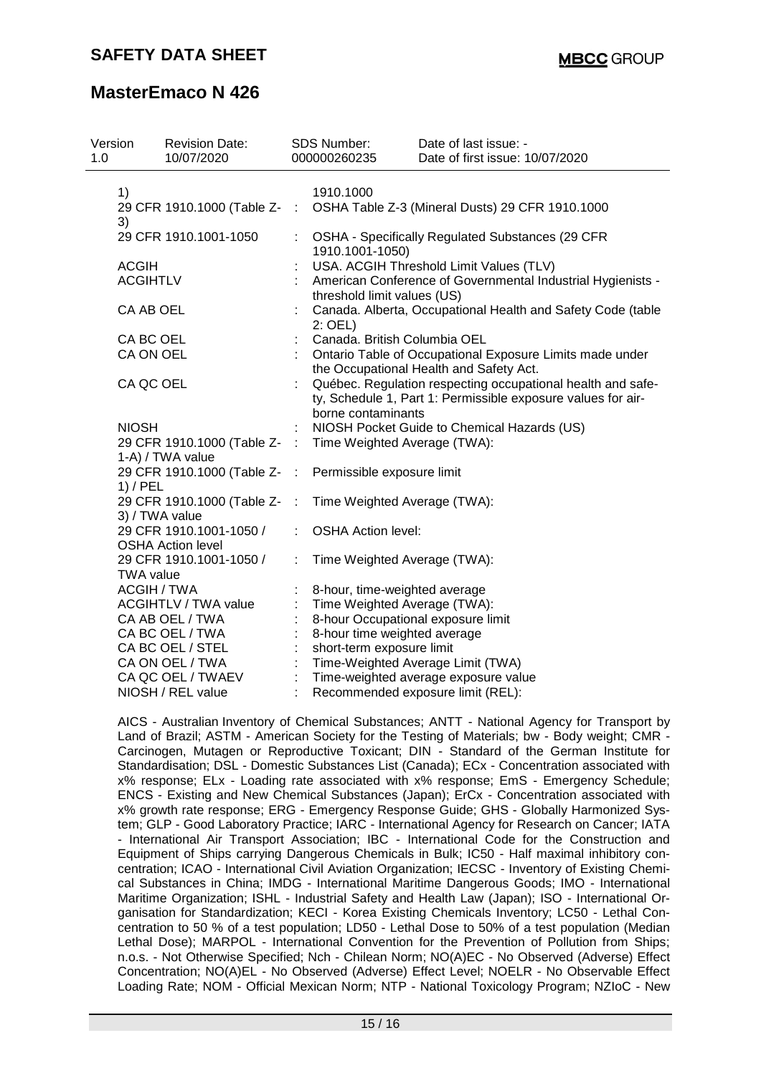| Version<br>1.0 |                    | <b>Revision Date:</b><br>10/07/2020 |           | <b>SDS Number:</b><br>000000260235 | Date of last issue: -<br>Date of first issue: 10/07/2020                                                                    |
|----------------|--------------------|-------------------------------------|-----------|------------------------------------|-----------------------------------------------------------------------------------------------------------------------------|
|                | 1)                 |                                     |           | 1910.1000                          |                                                                                                                             |
|                | 3)                 | 29 CFR 1910.1000 (Table Z- :        |           |                                    | OSHA Table Z-3 (Mineral Dusts) 29 CFR 1910.1000                                                                             |
|                |                    | 29 CFR 1910.1001-1050               |           | 1910.1001-1050)                    | OSHA - Specifically Regulated Substances (29 CFR                                                                            |
|                | <b>ACGIH</b>       |                                     |           |                                    | USA. ACGIH Threshold Limit Values (TLV)                                                                                     |
|                | <b>ACGIHTLV</b>    |                                     |           | threshold limit values (US)        | American Conference of Governmental Industrial Hygienists -                                                                 |
|                | CA AB OEL          |                                     |           | $2:$ OEL)                          | Canada. Alberta, Occupational Health and Safety Code (table                                                                 |
|                | CA BC OEL          |                                     |           | Canada. British Columbia OEL       |                                                                                                                             |
|                | CA ON OEL          |                                     |           |                                    | Ontario Table of Occupational Exposure Limits made under                                                                    |
|                |                    |                                     |           |                                    | the Occupational Health and Safety Act.                                                                                     |
|                | CA QC OEL          |                                     |           | borne contaminants                 | Québec. Regulation respecting occupational health and safe-<br>ty, Schedule 1, Part 1: Permissible exposure values for air- |
|                | <b>NIOSH</b>       |                                     |           |                                    | NIOSH Pocket Guide to Chemical Hazards (US)                                                                                 |
|                |                    | 29 CFR 1910.1000 (Table Z- :        |           | Time Weighted Average (TWA):       |                                                                                                                             |
|                |                    | 1-A) / TWA value                    |           |                                    |                                                                                                                             |
|                | $1)$ / PEL         | 29 CFR 1910.1000 (Table Z-          | $\sim$ 1. | Permissible exposure limit         |                                                                                                                             |
|                | 3) / TWA value     | 29 CFR 1910.1000 (Table Z-          | $\pm$     | Time Weighted Average (TWA):       |                                                                                                                             |
|                |                    | 29 CFR 1910.1001-1050 /             |           | <b>OSHA Action level:</b>          |                                                                                                                             |
|                |                    | <b>OSHA Action level</b>            |           |                                    |                                                                                                                             |
|                | <b>TWA value</b>   | 29 CFR 1910.1001-1050 /             |           | Time Weighted Average (TWA):       |                                                                                                                             |
|                | <b>ACGIH / TWA</b> |                                     |           | 8-hour, time-weighted average      |                                                                                                                             |
|                |                    | <b>ACGIHTLV / TWA value</b>         |           | Time Weighted Average (TWA):       |                                                                                                                             |
|                |                    | CA AB OEL / TWA                     |           | 8-hour Occupational exposure limit |                                                                                                                             |
|                |                    | CA BC OEL / TWA                     |           | 8-hour time weighted average       |                                                                                                                             |
|                |                    | CA BC OEL / STEL                    |           | short-term exposure limit          |                                                                                                                             |
|                |                    | CA ON OEL / TWA                     |           |                                    | Time-Weighted Average Limit (TWA)                                                                                           |
|                |                    | CA QC OEL / TWAEV                   |           |                                    | Time-weighted average exposure value                                                                                        |
|                |                    | NIOSH / REL value                   |           |                                    | Recommended exposure limit (REL):                                                                                           |

AICS - Australian Inventory of Chemical Substances; ANTT - National Agency for Transport by Land of Brazil; ASTM - American Society for the Testing of Materials; bw - Body weight; CMR - Carcinogen, Mutagen or Reproductive Toxicant; DIN - Standard of the German Institute for Standardisation; DSL - Domestic Substances List (Canada); ECx - Concentration associated with x% response; ELx - Loading rate associated with x% response; EmS - Emergency Schedule; ENCS - Existing and New Chemical Substances (Japan); ErCx - Concentration associated with x% growth rate response; ERG - Emergency Response Guide; GHS - Globally Harmonized System; GLP - Good Laboratory Practice; IARC - International Agency for Research on Cancer; IATA - International Air Transport Association; IBC - International Code for the Construction and Equipment of Ships carrying Dangerous Chemicals in Bulk; IC50 - Half maximal inhibitory concentration; ICAO - International Civil Aviation Organization; IECSC - Inventory of Existing Chemical Substances in China; IMDG - International Maritime Dangerous Goods; IMO - International Maritime Organization; ISHL - Industrial Safety and Health Law (Japan); ISO - International Organisation for Standardization; KECI - Korea Existing Chemicals Inventory; LC50 - Lethal Concentration to 50 % of a test population; LD50 - Lethal Dose to 50% of a test population (Median Lethal Dose); MARPOL - International Convention for the Prevention of Pollution from Ships; n.o.s. - Not Otherwise Specified; Nch - Chilean Norm; NO(A)EC - No Observed (Adverse) Effect Concentration; NO(A)EL - No Observed (Adverse) Effect Level; NOELR - No Observable Effect Loading Rate; NOM - Official Mexican Norm; NTP - National Toxicology Program; NZIoC - New